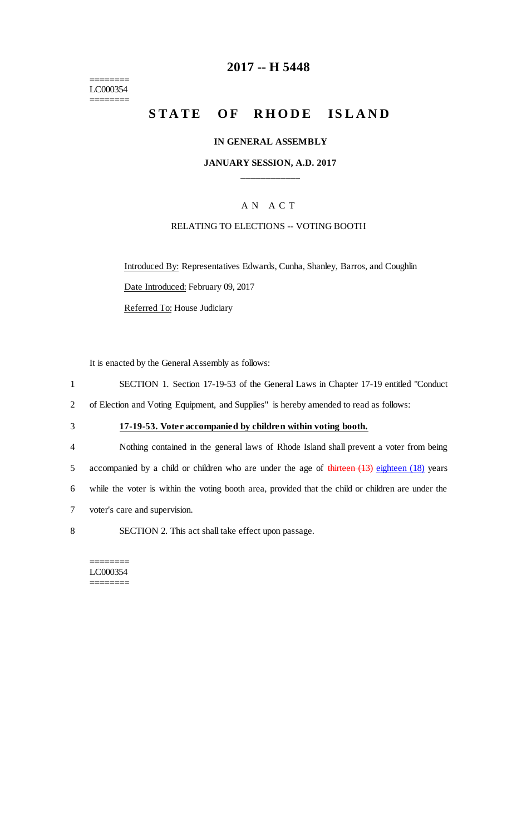======== LC000354 ========

## **2017 -- H 5448**

# STATE OF RHODE ISLAND

#### **IN GENERAL ASSEMBLY**

### **JANUARY SESSION, A.D. 2017 \_\_\_\_\_\_\_\_\_\_\_\_**

### A N A C T

#### RELATING TO ELECTIONS -- VOTING BOOTH

Introduced By: Representatives Edwards, Cunha, Shanley, Barros, and Coughlin Date Introduced: February 09, 2017

Referred To: House Judiciary

It is enacted by the General Assembly as follows:

- 1 SECTION 1. Section 17-19-53 of the General Laws in Chapter 17-19 entitled "Conduct
- 2 of Election and Voting Equipment, and Supplies" is hereby amended to read as follows:
- 3 **17-19-53. Voter accompanied by children within voting booth.**
- 4 Nothing contained in the general laws of Rhode Island shall prevent a voter from being 5 accompanied by a child or children who are under the age of thirteen (13) eighteen (18) years 6 while the voter is within the voting booth area, provided that the child or children are under the 7 voter's care and supervision.
- 8 SECTION 2. This act shall take effect upon passage.

======== LC000354 ========